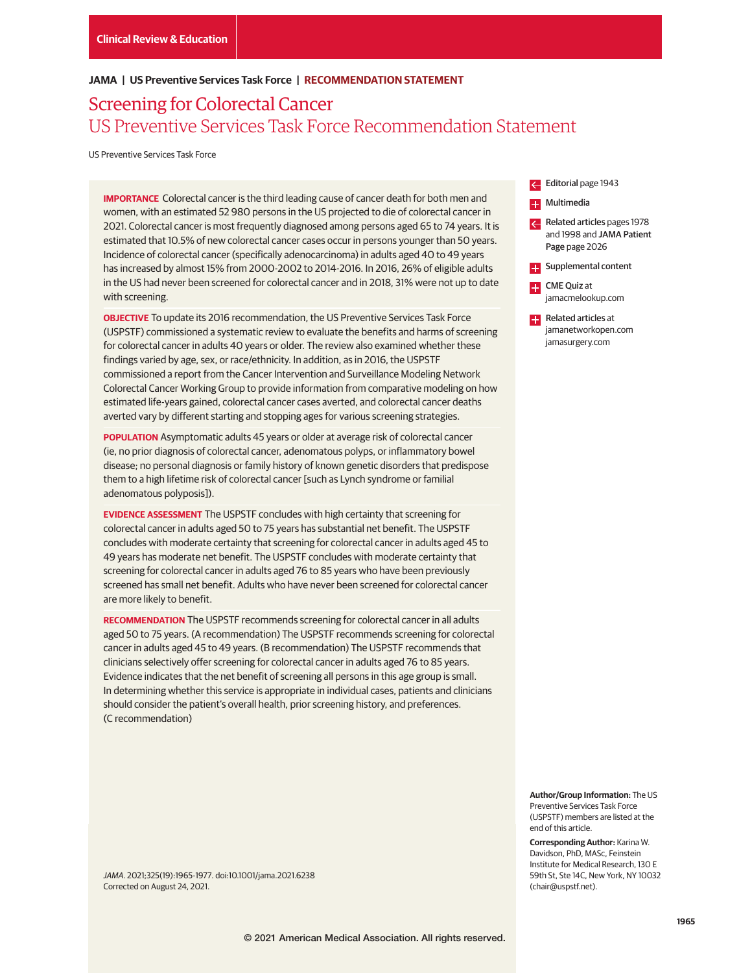# **JAMA | US Preventive Services Task Force | RECOMMENDATION STATEMENT**

# Screening for Colorectal Cancer US Preventive Services Task Force Recommendation Statement

US Preventive Services Task Force

**IMPORTANCE** Colorectal cancer is the third leading cause of cancer death for both men and women, with an estimated 52 980 persons in the US projected to die of colorectal cancer in 2021. Colorectal cancer is most frequently diagnosed among persons aged 65 to 74 years. It is estimated that 10.5% of new colorectal cancer cases occur in persons younger than 50 years. Incidence of colorectal cancer (specifically adenocarcinoma) in adults aged 40 to 49 years has increased by almost 15% from 2000-2002 to 2014-2016. In 2016, 26% of eligible adults in the US had never been screened for colorectal cancer and in 2018, 31% were not up to date with screening.

**OBJECTIVE** To update its 2016 recommendation, the US Preventive Services Task Force (USPSTF) commissioned a systematic review to evaluate the benefits and harms of screening for colorectal cancer in adults 40 years or older. The review also examined whether these findings varied by age, sex, or race/ethnicity. In addition, as in 2016, the USPSTF commissioned a report from the Cancer Intervention and Surveillance Modeling Network Colorectal Cancer Working Group to provide information from comparative modeling on how estimated life-years gained, colorectal cancer cases averted, and colorectal cancer deaths averted vary by different starting and stopping ages for various screening strategies.

**POPULATION** Asymptomatic adults 45 years or older at average risk of colorectal cancer (ie, no prior diagnosis of colorectal cancer, adenomatous polyps, or inflammatory bowel disease; no personal diagnosis or family history of known genetic disorders that predispose them to a high lifetime risk of colorectal cancer [such as Lynch syndrome or familial adenomatous polyposis]).

**EVIDENCE ASSESSMENT** The USPSTF concludes with high certainty that screening for colorectal cancer in adults aged 50 to 75 years has substantial net benefit. The USPSTF concludes with moderate certainty that screening for colorectal cancer in adults aged 45 to 49 years has moderate net benefit. The USPSTF concludes with moderate certainty that screening for colorectal cancer in adults aged 76 to 85 years who have been previously screened has small net benefit. Adults who have never been screened for colorectal cancer are more likely to benefit.

**RECOMMENDATION** The USPSTF recommends screening for colorectal cancer in all adults aged 50 to 75 years. (A recommendation) The USPSTF recommends screening for colorectal cancer in adults aged 45 to 49 years. (B recommendation) The USPSTF recommends that clinicians selectively offer screening for colorectal cancer in adults aged 76 to 85 years. Evidence indicates that the net benefit of screening all persons in this age group is small. In determining whether this service is appropriate in individual cases, patients and clinicians should consider the patient's overall health, prior screening history, and preferences. (C recommendation)

JAMA. 2021;325(19):1965-1977. doi:10.1001/jama.2021.6238 Corrected on August 24, 2021.



Related articles at  $\pm$ jamanetworkopen.com jamasurgery.com

**Author/Group Information:** The US Preventive Services Task Force (USPSTF) members are listed at the end of this article.

**Corresponding Author:** Karina W. Davidson, PhD, MASc, Feinstein Institute for Medical Research, 130 E 59th St, Ste 14C, New York, NY 10032 (chair@uspstf.net).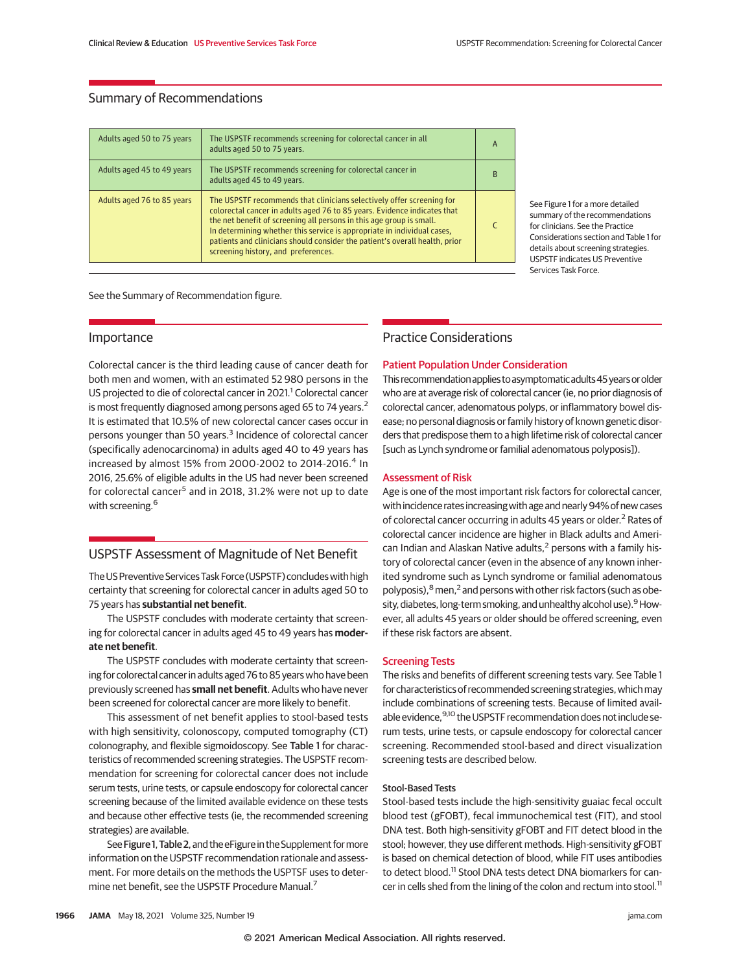# Summary of Recommendations

| Adults aged 50 to 75 years | The USPSTF recommends screening for colorectal cancer in all<br>adults aged 50 to 75 years.                                                                                                                                                                                                                                                                                                                                | A |
|----------------------------|----------------------------------------------------------------------------------------------------------------------------------------------------------------------------------------------------------------------------------------------------------------------------------------------------------------------------------------------------------------------------------------------------------------------------|---|
| Adults aged 45 to 49 years | The USPSTF recommends screening for colorectal cancer in<br>adults aged 45 to 49 years.                                                                                                                                                                                                                                                                                                                                    |   |
| Adults aged 76 to 85 years | The USPSTF recommends that clinicians selectively offer screening for<br>colorectal cancer in adults aged 76 to 85 years. Evidence indicates that<br>the net benefit of screening all persons in this age group is small.<br>In determining whether this service is appropriate in individual cases,<br>patients and clinicians should consider the patient's overall health, prior<br>screening history, and preferences. |   |

See Figure 1 for a more detailed summary of the recommendations for clinicians. See the Practice Considerations section and Table 1 for details about screening strategies. USPSTF indicates US Preventive Services Task Force.

See the Summary of Recommendation figure.

# Importance

Colorectal cancer is the third leading cause of cancer death for both men and women, with an estimated 52 980 persons in the US projected to die of colorectal cancer in 2021.<sup>1</sup> Colorectal cancer is most frequently diagnosed among persons aged 65 to 74 years.<sup>2</sup> It is estimated that 10.5% of new colorectal cancer cases occur in persons younger than 50 years.<sup>3</sup> Incidence of colorectal cancer (specifically adenocarcinoma) in adults aged 40 to 49 years has increased by almost 15% from 2000-2002 to 2014-2016.<sup>4</sup> In 2016, 25.6% of eligible adults in the US had never been screened for colorectal cancer<sup>5</sup> and in 2018, 31.2% were not up to date with screening.<sup>6</sup>

# USPSTF Assessment of Magnitude of Net Benefit

The US Preventive Services Task Force (USPSTF) concludes with high certainty that screening for colorectal cancer in adults aged 50 to 75 years has **substantial net benefit**.

The USPSTF concludes with moderate certainty that screening for colorectal cancer in adults aged 45 to 49 years has **moderate net benefit**.

The USPSTF concludes with moderate certainty that screening for colorectal cancer in adults aged 76 to 85 years who have been previously screened has **small net benefit**. Adults who have never been screened for colorectal cancer are more likely to benefit.

This assessment of net benefit applies to stool-based tests with high sensitivity, colonoscopy, computed tomography (CT) colonography, and flexible sigmoidoscopy. See Table 1 for characteristics of recommended screening strategies. The USPSTF recommendation for screening for colorectal cancer does not include serum tests, urine tests, or capsule endoscopy for colorectal cancer screening because of the limited available evidence on these tests and because other effective tests (ie, the recommended screening strategies) are available.

See Figure 1, Table 2, and the eFigure in the Supplement for more information on the USPSTF recommendation rationale and assessment. For more details on the methods the USPTSF uses to determine net benefit, see the USPSTF Procedure Manual.7

# Practice Considerations

## Patient Population Under Consideration

This recommendation applies to asymptomatic adults 45 years or older who are at average risk of colorectal cancer (ie, no prior diagnosis of colorectal cancer, adenomatous polyps, or inflammatory bowel disease; no personal diagnosis or family history of known genetic disorders that predispose them to a high lifetime risk of colorectal cancer [such as Lynch syndrome or familial adenomatous polyposis]).

## Assessment of Risk

Age is one of the most important risk factors for colorectal cancer, with incidence rates increasing with age and nearly 94% of new cases of colorectal cancer occurring in adults 45 years or older.<sup>2</sup> Rates of colorectal cancer incidence are higher in Black adults and American Indian and Alaskan Native adults,<sup>2</sup> persons with a family history of colorectal cancer (even in the absence of any known inherited syndrome such as Lynch syndrome or familial adenomatous polyposis), <sup>8</sup> men, <sup>2</sup> and persons with other risk factors (such as obesity, diabetes, long-term smoking, and unhealthy alcohol use).<sup>9</sup> However, all adults 45 years or older should be offered screening, even if these risk factors are absent.

## Screening Tests

The risks and benefits of different screening tests vary. See Table 1 for characteristics of recommended screening strategies, which may include combinations of screening tests. Because of limited available evidence, <sup>9,10</sup> the USPSTF recommendation does not include serum tests, urine tests, or capsule endoscopy for colorectal cancer screening. Recommended stool-based and direct visualization screening tests are described below.

## Stool-Based Tests

Stool-based tests include the high-sensitivity guaiac fecal occult blood test (gFOBT), fecal immunochemical test (FIT), and stool DNA test. Both high-sensitivity gFOBT and FIT detect blood in the stool; however, they use different methods. High-sensitivity gFOBT is based on chemical detection of blood, while FIT uses antibodies to detect blood.<sup>11</sup> Stool DNA tests detect DNA biomarkers for cancer in cells shed from the lining of the colon and rectum into stool.<sup>11</sup>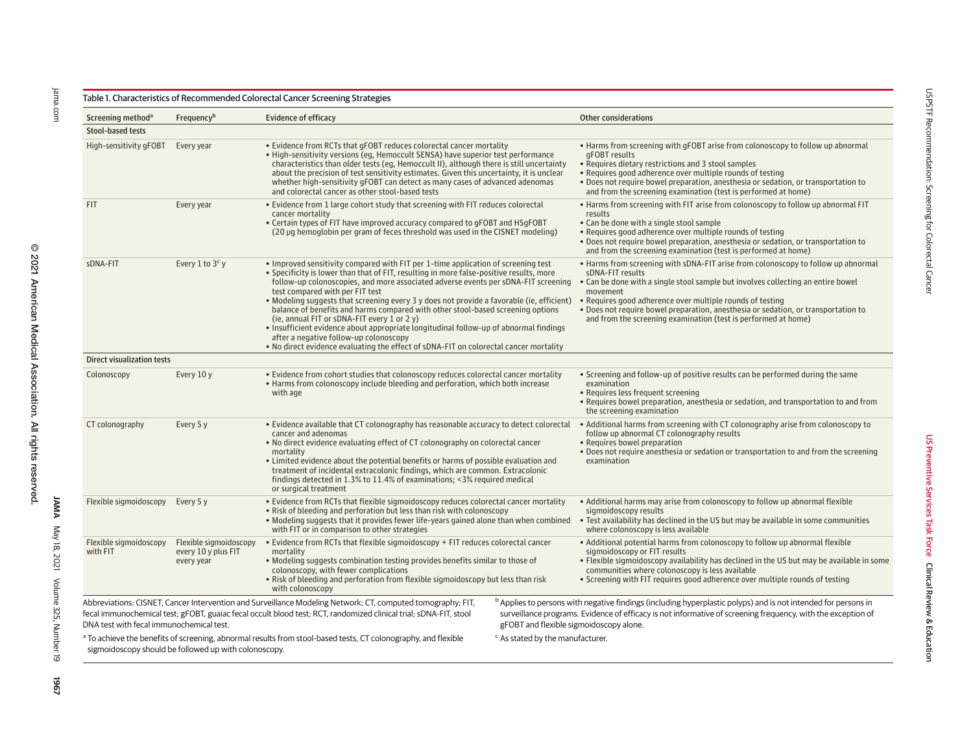# Table 1. Characteristics of Recommended Colorectal Cancer Screening Strategies

| Screening method <sup>a</sup>            | Frequencyb                                                                                                                                                                                                                                                                                                                                                                                      | <b>Evidence of efficacy</b>                                                                                                                                                                                                                                                                                                                                                                                                                                                                                                                                                                                                                                                                                                                                      |                                                                                                                                                                                                                                                                                                                                              | <b>Other considerations</b>                                                                                                                                                                                                                                                                                                                                                                                                |
|------------------------------------------|-------------------------------------------------------------------------------------------------------------------------------------------------------------------------------------------------------------------------------------------------------------------------------------------------------------------------------------------------------------------------------------------------|------------------------------------------------------------------------------------------------------------------------------------------------------------------------------------------------------------------------------------------------------------------------------------------------------------------------------------------------------------------------------------------------------------------------------------------------------------------------------------------------------------------------------------------------------------------------------------------------------------------------------------------------------------------------------------------------------------------------------------------------------------------|----------------------------------------------------------------------------------------------------------------------------------------------------------------------------------------------------------------------------------------------------------------------------------------------------------------------------------------------|----------------------------------------------------------------------------------------------------------------------------------------------------------------------------------------------------------------------------------------------------------------------------------------------------------------------------------------------------------------------------------------------------------------------------|
| <b>Stool-based tests</b>                 |                                                                                                                                                                                                                                                                                                                                                                                                 |                                                                                                                                                                                                                                                                                                                                                                                                                                                                                                                                                                                                                                                                                                                                                                  |                                                                                                                                                                                                                                                                                                                                              |                                                                                                                                                                                                                                                                                                                                                                                                                            |
| High-sensitivity gFOBT                   | Every year                                                                                                                                                                                                                                                                                                                                                                                      | • Evidence from RCTs that gFOBT reduces colorectal cancer mortality<br>· High-sensitivity versions (eg, Hemoccult SENSA) have superior test performance<br>characteristics than older tests (eg, Hemoccult II), although there is still uncertainty<br>about the precision of test sensitivity estimates. Given this uncertainty, it is unclear<br>whether high-sensitivity gFOBT can detect as many cases of advanced adenomas<br>and colorectal cancer as other stool-based tests                                                                                                                                                                                                                                                                              |                                                                                                                                                                                                                                                                                                                                              | • Harms from screening with gFOBT arise from colonoscopy to follow up abnormal<br>qFOBT results<br>• Requires dietary restrictions and 3 stool samples<br>• Requires good adherence over multiple rounds of testing<br>. Does not require bowel preparation, anesthesia or sedation, or transportation to<br>and from the screening examination (test is performed at home)                                                |
| <b>FIT</b>                               | Every year                                                                                                                                                                                                                                                                                                                                                                                      | . Evidence from 1 large cohort study that screening with FIT reduces colorectal<br>cancer mortality<br>• Certain types of FIT have improved accuracy compared to gFOBT and HSgFOBT<br>(20 µg hemoglobin per gram of feces threshold was used in the CISNET modeling)                                                                                                                                                                                                                                                                                                                                                                                                                                                                                             |                                                                                                                                                                                                                                                                                                                                              | • Harms from screening with FIT arise from colonoscopy to follow up abnormal FIT<br>results<br>• Can be done with a single stool sample<br>• Requires good adherence over multiple rounds of testing<br>. Does not require bowel preparation, anesthesia or sedation, or transportation to<br>and from the screening examination (test is performed at home)                                                               |
| sDNA-FIT                                 | Every 1 to $3c$ y                                                                                                                                                                                                                                                                                                                                                                               | • Improved sensitivity compared with FIT per 1-time application of screening test<br>• Specificity is lower than that of FIT, resulting in more false-positive results, more<br>follow-up colonoscopies, and more associated adverse events per sDNA-FIT screening<br>test compared with per FIT test<br>• Modeling suggests that screening every 3 y does not provide a favorable (ie, efficient)<br>balance of benefits and harms compared with other stool-based screening options<br>(ie, annual FIT or sDNA-FIT every 1 or 2 y)<br>. Insufficient evidence about appropriate longitudinal follow-up of abnormal findings<br>after a negative follow-up colonoscopy<br>• No direct evidence evaluating the effect of sDNA-FIT on colorectal cancer mortality |                                                                                                                                                                                                                                                                                                                                              | • Harms from screening with sDNA-FIT arise from colonoscopy to follow up abnormal<br>sDNA-FIT results<br>• Can be done with a single stool sample but involves collecting an entire bowel<br>movement<br>• Requires good adherence over multiple rounds of testing<br>. Does not require bowel preparation, anesthesia or sedation, or transportation to<br>and from the screening examination (test is performed at home) |
| <b>Direct visualization tests</b>        |                                                                                                                                                                                                                                                                                                                                                                                                 |                                                                                                                                                                                                                                                                                                                                                                                                                                                                                                                                                                                                                                                                                                                                                                  |                                                                                                                                                                                                                                                                                                                                              |                                                                                                                                                                                                                                                                                                                                                                                                                            |
| Colonoscopy                              | Every 10 y                                                                                                                                                                                                                                                                                                                                                                                      | • Evidence from cohort studies that colonoscopy reduces colorectal cancer mortality<br>• Harms from colonoscopy include bleeding and perforation, which both increase<br>with age                                                                                                                                                                                                                                                                                                                                                                                                                                                                                                                                                                                |                                                                                                                                                                                                                                                                                                                                              | • Screening and follow-up of positive results can be performed during the same<br>examination<br>· Requires less frequent screening<br>• Requires bowel preparation, anesthesia or sedation, and transportation to and from<br>the screening examination                                                                                                                                                                   |
| CT colonography                          | Every 5 y                                                                                                                                                                                                                                                                                                                                                                                       | • Evidence available that CT colonography has reasonable accuracy to detect colorectal<br>cancer and adenomas<br>• No direct evidence evaluating effect of CT colonography on colorectal cancer<br>mortality<br>. Limited evidence about the potential benefits or harms of possible evaluation and<br>treatment of incidental extracolonic findings, which are common. Extracolonic<br>findings detected in 1.3% to 11.4% of examinations; <3% required medical<br>or surgical treatment                                                                                                                                                                                                                                                                        |                                                                                                                                                                                                                                                                                                                                              | • Additional harms from screening with CT colonography arise from colonoscopy to<br>follow up abnormal CT colonography results<br>• Requires bowel preparation<br>• Does not require anesthesia or sedation or transportation to and from the screening<br>examination                                                                                                                                                     |
| Flexible sigmoidoscopy                   | Every 5 y                                                                                                                                                                                                                                                                                                                                                                                       | • Evidence from RCTs that flexible sigmoidoscopy reduces colorectal cancer mortality<br>• Risk of bleeding and perforation but less than risk with colonoscopy<br>• Modeling suggests that it provides fewer life-years gained alone than when combined<br>with FIT or in comparison to other strategies                                                                                                                                                                                                                                                                                                                                                                                                                                                         |                                                                                                                                                                                                                                                                                                                                              | • Additional harms may arise from colonoscopy to follow up abnormal flexible<br>sigmoidoscopy results<br>• Test availability has declined in the US but may be available in some communities<br>where colonoscopy is less available                                                                                                                                                                                        |
| Flexible sigmoidoscopy<br>with FIT       | Flexible sigmoidoscopy<br>• Evidence from RCTs that flexible sigmoidoscopy + FIT reduces colorectal cancer<br>every 10 y plus FIT<br>mortality<br>• Modeling suggests combination testing provides benefits similar to those of<br>every year<br>colonoscopy, with fewer complications<br>• Risk of bleeding and perforation from flexible sigmoidoscopy but less than risk<br>with colonoscopy |                                                                                                                                                                                                                                                                                                                                                                                                                                                                                                                                                                                                                                                                                                                                                                  | • Additional potential harms from colonoscopy to follow up abnormal flexible<br>sigmoidoscopy or FIT results<br>. Flexible sigmoidoscopy availability has declined in the US but may be available in some<br>communities where colonoscopy is less available<br>• Screening with FIT requires good adherence over multiple rounds of testing |                                                                                                                                                                                                                                                                                                                                                                                                                            |
| DNA test with fecal immunochemical test. |                                                                                                                                                                                                                                                                                                                                                                                                 | Abbreviations: CISNET, Cancer Intervention and Surveillance Modeling Network; CT, computed tomography; FIT,<br>fecal immunochemical test; gFOBT, guaiac fecal occult blood test; RCT, randomized clinical trial; sDNA-FIT, stool                                                                                                                                                                                                                                                                                                                                                                                                                                                                                                                                 | gFOBT and flexible sigmoidoscopy alone.                                                                                                                                                                                                                                                                                                      | <sup>b</sup> Applies to persons with negative findings (including hyperplastic polyps) and is not intended for persons in<br>surveillance programs. Evidence of efficacy is not informative of screening frequency, with the exception of                                                                                                                                                                                  |
|                                          | sigmoidoscopy should be followed up with colonoscopy.                                                                                                                                                                                                                                                                                                                                           | <sup>a</sup> To achieve the benefits of screening, abnormal results from stool-based tests, CT colonography, and flexible                                                                                                                                                                                                                                                                                                                                                                                                                                                                                                                                                                                                                                        | <sup>c</sup> As stated by the manufacturer.                                                                                                                                                                                                                                                                                                  |                                                                                                                                                                                                                                                                                                                                                                                                                            |

 $\overline{a}$ 

© 2021 American Medical Association. All rights reserved.

2021 American Medical Association. All rights reserved.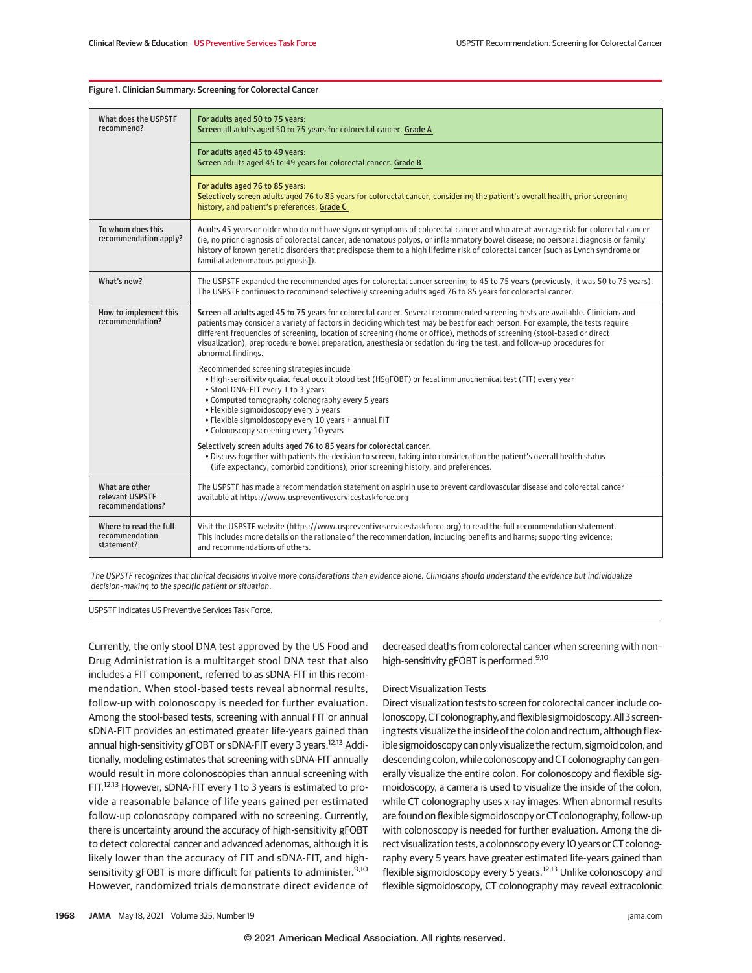#### Figure 1. Clinician Summary: Screening for Colorectal Cancer

| What does the USPSTF<br>recommend?                     | For adults aged 50 to 75 years:<br>Screen all adults aged 50 to 75 years for colorectal cancer. Grade A                                                                                                                                                                                                                                                                                                                                                                                                                                  |
|--------------------------------------------------------|------------------------------------------------------------------------------------------------------------------------------------------------------------------------------------------------------------------------------------------------------------------------------------------------------------------------------------------------------------------------------------------------------------------------------------------------------------------------------------------------------------------------------------------|
|                                                        | For adults aged 45 to 49 years:<br>Screen adults aged 45 to 49 years for colorectal cancer. Grade B                                                                                                                                                                                                                                                                                                                                                                                                                                      |
|                                                        | For adults aged 76 to 85 years:<br>Selectively screen adults aged 76 to 85 years for colorectal cancer, considering the patient's overall health, prior screening<br>history, and patient's preferences. Grade C                                                                                                                                                                                                                                                                                                                         |
| To whom does this<br>recommendation apply?             | Adults 45 years or older who do not have signs or symptoms of colorectal cancer and who are at average risk for colorectal cancer<br>(ie, no prior diagnosis of colorectal cancer, adenomatous polyps, or inflammatory bowel disease; no personal diagnosis or family<br>history of known genetic disorders that predispose them to a high lifetime risk of colorectal cancer [such as Lynch syndrome or<br>familial adenomatous polyposis]).                                                                                            |
| What's new?                                            | The USPSTF expanded the recommended ages for colorectal cancer screening to 45 to 75 years (previously, it was 50 to 75 years).<br>The USPSTF continues to recommend selectively screening adults aged 76 to 85 years for colorectal cancer.                                                                                                                                                                                                                                                                                             |
| How to implement this<br>recommendation?               | Screen all adults aged 45 to 75 years for colorectal cancer. Several recommended screening tests are available. Clinicians and<br>patients may consider a variety of factors in deciding which test may be best for each person. For example, the tests require<br>different frequencies of screening, location of screening (home or office), methods of screening (stool-based or direct<br>visualization), preprocedure bowel preparation, anesthesia or sedation during the test, and follow-up procedures for<br>abnormal findings. |
|                                                        | Recommended screening strategies include<br>. High-sensitivity guaiac fecal occult blood test (HSgFOBT) or fecal immunochemical test (FIT) every year<br>• Stool DNA-FIT every 1 to 3 years<br>• Computed tomography colonography every 5 years<br>• Flexible sigmoidoscopy every 5 years<br>• Flexible sigmoidoscopy every 10 years + annual FIT<br>• Colonoscopy screening every 10 years                                                                                                                                              |
|                                                        | Selectively screen adults aged 76 to 85 years for colorectal cancer.<br>. Discuss together with patients the decision to screen, taking into consideration the patient's overall health status<br>(life expectancy, comorbid conditions), prior screening history, and preferences.                                                                                                                                                                                                                                                      |
| What are other<br>relevant USPSTF<br>recommendations?  | The USPSTF has made a recommendation statement on aspirin use to prevent cardiovascular disease and colorectal cancer<br>available at https://www.uspreventiveservicestaskforce.org                                                                                                                                                                                                                                                                                                                                                      |
| Where to read the full<br>recommendation<br>statement? | Visit the USPSTF website (https://www.uspreventiveservicestaskforce.org) to read the full recommendation statement.<br>This includes more details on the rationale of the recommendation, including benefits and harms; supporting evidence;<br>and recommendations of others.                                                                                                                                                                                                                                                           |

*The USPSTF recognizes that clinical decisions involve more considerations than evidence alone. Clinicians should understand the evidence but individualize decision-making to the specific patient or situation.*

USPSTF indicates US Preventive Services Task Force.

Currently, the only stool DNA test approved by the US Food and Drug Administration is a multitarget stool DNA test that also includes a FIT component, referred to as sDNA-FIT in this recommendation. When stool-based tests reveal abnormal results, follow-up with colonoscopy is needed for further evaluation. Among the stool-based tests, screening with annual FIT or annual sDNA-FIT provides an estimated greater life-years gained than annual high-sensitivity gFOBT or sDNA-FIT every 3 years.<sup>12,13</sup> Additionally, modeling estimates that screening with sDNA-FIT annually would result in more colonoscopies than annual screening with FIT.<sup>12,13</sup> However, sDNA-FIT every 1 to 3 years is estimated to provide a reasonable balance of life years gained per estimated follow-up colonoscopy compared with no screening. Currently, there is uncertainty around the accuracy of high-sensitivity gFOBT to detect colorectal cancer and advanced adenomas, although it is likely lower than the accuracy of FIT and sDNA-FIT, and highsensitivity gFOBT is more difficult for patients to administer.<sup>9,10</sup> However, randomized trials demonstrate direct evidence of

decreased deaths from colorectal cancer when screening with non– high-sensitivity gFOBT is performed.<sup>9,10</sup>

## Direct Visualization Tests

Direct visualization tests to screen for colorectal cancer include colonoscopy, CT colonography, and flexible sigmoidoscopy. All 3 screening tests visualize the inside of the colon and rectum, although flexible sigmoidoscopy can only visualize the rectum, sigmoid colon, and descending colon, while colonoscopy and CT colonography can generally visualize the entire colon. For colonoscopy and flexible sigmoidoscopy, a camera is used to visualize the inside of the colon, while CT colonography uses x-ray images. When abnormal results are found on flexible sigmoidoscopy or CT colonography, follow-up with colonoscopy is needed for further evaluation. Among the direct visualization tests, a colonoscopy every 10 years or CT colonography every 5 years have greater estimated life-years gained than flexible sigmoidoscopy every 5 years.<sup>12,13</sup> Unlike colonoscopy and flexible sigmoidoscopy, CT colonography may reveal extracolonic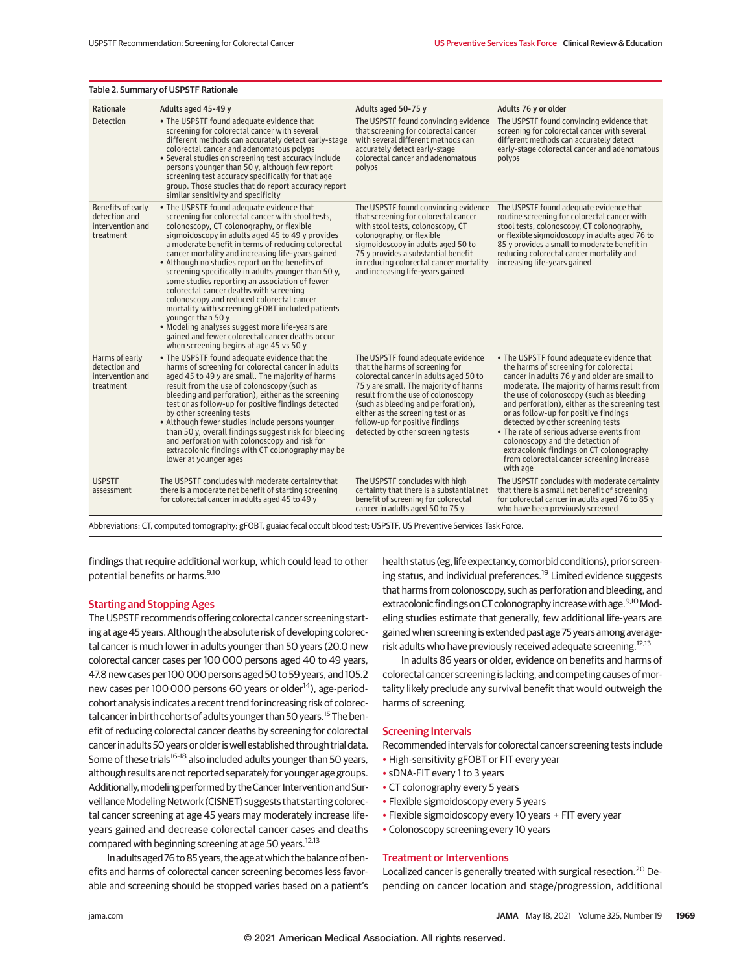| Rationale                                                           | Adults aged 45-49 y                                                                                                                                                                                                                                                                                                                                                                                                                                                                                                                                                                                                                                                                                                                                                                      | Adults aged 50-75 y                                                                                                                                                                                                                                                                                                                                 | Adults 76 y or older                                                                                                                                                                                                                                                                                                                                                                                                                                                                                                                                |
|---------------------------------------------------------------------|------------------------------------------------------------------------------------------------------------------------------------------------------------------------------------------------------------------------------------------------------------------------------------------------------------------------------------------------------------------------------------------------------------------------------------------------------------------------------------------------------------------------------------------------------------------------------------------------------------------------------------------------------------------------------------------------------------------------------------------------------------------------------------------|-----------------------------------------------------------------------------------------------------------------------------------------------------------------------------------------------------------------------------------------------------------------------------------------------------------------------------------------------------|-----------------------------------------------------------------------------------------------------------------------------------------------------------------------------------------------------------------------------------------------------------------------------------------------------------------------------------------------------------------------------------------------------------------------------------------------------------------------------------------------------------------------------------------------------|
| Detection                                                           | • The USPSTF found adequate evidence that<br>screening for colorectal cancer with several<br>different methods can accurately detect early-stage<br>colorectal cancer and adenomatous polyps<br>• Several studies on screening test accuracy include<br>persons younger than 50 y, although few report<br>screening test accuracy specifically for that age<br>group. Those studies that do report accuracy report<br>similar sensitivity and specificity                                                                                                                                                                                                                                                                                                                                | The USPSTF found convincing evidence<br>that screening for colorectal cancer<br>with several different methods can<br>accurately detect early-stage<br>colorectal cancer and adenomatous<br>polyps                                                                                                                                                  | The USPSTF found convincing evidence that<br>screening for colorectal cancer with several<br>different methods can accurately detect<br>early-stage colorectal cancer and adenomatous<br>polyps                                                                                                                                                                                                                                                                                                                                                     |
| Benefits of early<br>detection and<br>intervention and<br>treatment | • The USPSTF found adequate evidence that<br>screening for colorectal cancer with stool tests,<br>colonoscopy, CT colonography, or flexible<br>sigmoidoscopy in adults aged 45 to 49 y provides<br>a moderate benefit in terms of reducing colorectal<br>cancer mortality and increasing life-years gained<br>• Although no studies report on the benefits of<br>screening specifically in adults younger than 50 y.<br>some studies reporting an association of fewer<br>colorectal cancer deaths with screening<br>colonoscopy and reduced colorectal cancer<br>mortality with screening gFOBT included patients<br>younger than 50 y<br>• Modeling analyses suggest more life-years are<br>gained and fewer colorectal cancer deaths occur<br>when screening begins at age 45 vs 50 y | The USPSTF found convincing evidence<br>that screening for colorectal cancer<br>with stool tests, colonoscopy, CT<br>colonography, or flexible<br>sigmoidoscopy in adults aged 50 to<br>75 y provides a substantial benefit<br>in reducing colorectal cancer mortality<br>and increasing life-years gained                                          | The USPSTF found adequate evidence that<br>routine screening for colorectal cancer with<br>stool tests, colonoscopy, CT colonography,<br>or flexible sigmoidoscopy in adults aged 76 to<br>85 y provides a small to moderate benefit in<br>reducing colorectal cancer mortality and<br>increasing life-years gained                                                                                                                                                                                                                                 |
| Harms of early<br>detection and<br>intervention and<br>treatment    | • The USPSTF found adequate evidence that the<br>harms of screening for colorectal cancer in adults<br>aged 45 to 49 y are small. The majority of harms<br>result from the use of colonoscopy (such as<br>bleeding and perforation), either as the screening<br>test or as follow-up for positive findings detected<br>by other screening tests<br>• Although fewer studies include persons younger<br>than 50 y, overall findings suggest risk for bleeding<br>and perforation with colonoscopy and risk for<br>extracolonic findings with CT colonography may be<br>lower at younger ages                                                                                                                                                                                              | The USPSTF found adequate evidence<br>that the harms of screening for<br>colorectal cancer in adults aged 50 to<br>75 y are small. The majority of harms<br>result from the use of colonoscopy<br>(such as bleeding and perforation).<br>either as the screening test or as<br>follow-up for positive findings<br>detected by other screening tests | • The USPSTF found adequate evidence that<br>the harms of screening for colorectal<br>cancer in adults 76 y and older are small to<br>moderate. The majority of harms result from<br>the use of colonoscopy (such as bleeding<br>and perforation), either as the screening test<br>or as follow-up for positive findings<br>detected by other screening tests<br>• The rate of serious adverse events from<br>colonoscopy and the detection of<br>extracolonic findings on CT colonography<br>from colorectal cancer screening increase<br>with age |
| <b>USPSTF</b><br>assessment                                         | The USPSTF concludes with moderate certainty that<br>there is a moderate net benefit of starting screening<br>for colorectal cancer in adults aged 45 to 49 y                                                                                                                                                                                                                                                                                                                                                                                                                                                                                                                                                                                                                            | The USPSTF concludes with high<br>certainty that there is a substantial net<br>benefit of screening for colorectal<br>cancer in adults aged 50 to 75 y                                                                                                                                                                                              | The USPSTF concludes with moderate certainty<br>that there is a small net benefit of screening<br>for colorectal cancer in adults aged 76 to 85 y<br>who have been previously screened                                                                                                                                                                                                                                                                                                                                                              |

Abbreviations: CT, computed tomography; gFOBT, guaiac fecal occult blood test; USPSTF, US Preventive Services Task Force.

findings that require additional workup, which could lead to other potential benefits or harms.<sup>9,10</sup>

## Starting and Stopping Ages

The USPSTF recommends offering colorectal cancer screening starting at age 45 years. Although the absolute risk of developing colorectal cancer is much lower in adults younger than 50 years (20.0 new colorectal cancer cases per 100 000 persons aged 40 to 49 years, 47.8 new cases per 100 000 persons aged 50 to 59 years, and 105.2 new cases per 100 000 persons 60 years or older<sup>14</sup>), age-periodcohort analysis indicates a recent trend for increasing risk of colorectal cancer in birth cohorts of adults younger than 50 years.<sup>15</sup> The benefit of reducing colorectal cancer deaths by screening for colorectal cancer inadults 50years or older iswellestablished through trial data. Some of these trials<sup>16-18</sup> also included adults younger than 50 years, although results are not reported separately for younger age groups. Additionally, modeling performed by the Cancer Intervention and Surveillance Modeling Network (CISNET) suggests that starting colorectal cancer screening at age 45 years may moderately increase lifeyears gained and decrease colorectal cancer cases and deaths compared with beginning screening at age 50 years.<sup>12,13</sup>

In adults aged 76 to 85 years, the age at which the balance of benefits and harms of colorectal cancer screening becomes less favorable and screening should be stopped varies based on a patient's health status (eg, life expectancy, comorbid conditions), prior screening status, and individual preferences.<sup>19</sup> Limited evidence suggests that harms from colonoscopy, such as perforation and bleeding, and extracolonic findings on CT colonography increase with age.<sup>9,10</sup> Modeling studies estimate that generally, few additional life-years are gained when screening is extended past age 75 years among averagerisk adults who have previously received adequate screening.12,13

In adults 86 years or older, evidence on benefits and harms of colorectal cancer screening is lacking, and competing causes ofmortality likely preclude any survival benefit that would outweigh the harms of screening.

## Screening Intervals

Recommended intervals for colorectal cancer screening tests include

- High-sensitivity gFOBT or FIT every year
- sDNA-FIT every 1 to 3 years
- CT colonography every 5 years
- Flexible sigmoidoscopy every 5 years
- Flexible sigmoidoscopy every 10 years + FIT every year
- Colonoscopy screening every 10 years

## Treatment or Interventions

Localized cancer is generally treated with surgical resection.<sup>20</sup> Depending on cancer location and stage/progression, additional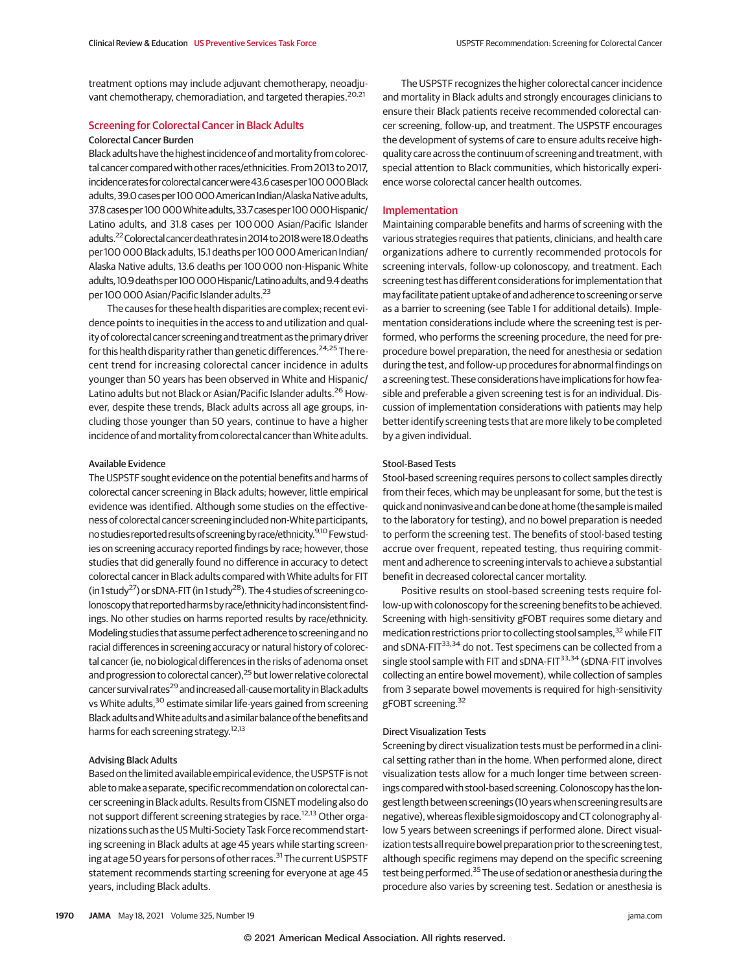treatment options may include adjuvant chemotherapy, neoadjuvant chemotherapy, chemoradiation, and targeted therapies.<sup>20,21</sup>

#### Screening for Colorectal Cancer in Black Adults

# Colorectal Cancer Burden

Black adults have the highest incidence of and mortality from colorectal cancer compared with other races/ethnicities. From 2013 to 2017, incidence rates for colorectal cancer were 43.6 cases per 100 000 Black adults, 39.0 cases per 100 000 American Indian/Alaska Native adults, 37.8casesper 100 000Whiteadults,33.7casesper 100 000Hispanic/ Latino adults, and 31.8 cases per 100 000 Asian/Pacific Islander adults.<sup>22</sup> Colorectal cancer death rates in 2014 to 2018 were 18.0 deaths per 100 000 Black adults, 15.1 deaths per 100 000 American Indian/ Alaska Native adults, 13.6 deaths per 100 000 non-Hispanic White adults, 10.9 deaths per 100 000 Hispanic/Latino adults, and 9.4 deaths per 100 000 Asian/Pacific Islander adults.<sup>23</sup>

The causes for these health disparities are complex; recent evidence points to inequities in the access to and utilization and quality of colorectal cancer screening and treatment as the primary driver for this health disparity rather than genetic differences.<sup>24,25</sup>The recent trend for increasing colorectal cancer incidence in adults younger than 50 years has been observed in White and Hispanic/ Latino adults but not Black or Asian/Pacific Islander adults.<sup>26</sup> However, despite these trends, Black adults across all age groups, including those younger than 50 years, continue to have a higher incidence of and mortality from colorectal cancer than White adults.

#### Available Evidence

The USPSTF sought evidence on the potential benefits and harms of colorectal cancer screening in Black adults; however, little empirical evidence was identified. Although some studies on the effectiveness of colorectal cancer screening included non-White participants, no studies reported results of screening by race/ethnicity.<sup>9,10</sup> Few studies on screening accuracy reported findings by race; however, those studies that did generally found no difference in accuracy to detect colorectal cancer in Black adults compared with White adults for FIT (in 1 study<sup>27</sup>) or sDNA-FIT (in 1 study<sup>28</sup>). The 4 studies of screening colonoscopy that reported harms by race/ethnicity had inconsistent findings. No other studies on harms reported results by race/ethnicity. Modeling studies that assume perfect adherence to screening and no racial differences in screening accuracy or natural history of colorectal cancer (ie, no biological differences in the risks of adenoma onset and progression to colorectal cancer),<sup>25</sup> but lower relative colorectal cancer survival rates<sup>29</sup> and increased all-cause mortality in Black adults vs White adults,<sup>30</sup> estimate similar life-years gained from screening Black adults and White adults and a similar balance of the benefits and harms for each screening strategy.<sup>12,13</sup>

#### Advising Black Adults

Based on the limited available empirical evidence, the USPSTF is not able tomake a separate, specific recommendation on colorectal cancer screening in Black adults. Results from CISNET modeling also do not support different screening strategies by race.<sup>12,13</sup> Other organizations such as the US Multi-Society Task Force recommend starting screening in Black adults at age 45 years while starting screening at age 50 years for persons of other races.<sup>31</sup> The current USPSTF statement recommends starting screening for everyone at age 45 years, including Black adults.

The USPSTF recognizes the higher colorectal cancer incidence and mortality in Black adults and strongly encourages clinicians to ensure their Black patients receive recommended colorectal cancer screening, follow-up, and treatment. The USPSTF encourages the development of systems of care to ensure adults receive highquality care across the continuum of screening and treatment, with special attention to Black communities, which historically experience worse colorectal cancer health outcomes.

#### Implementation

Maintaining comparable benefits and harms of screening with the various strategies requires that patients, clinicians, and health care organizations adhere to currently recommended protocols for screening intervals, follow-up colonoscopy, and treatment. Each screening test has different considerations for implementation that may facilitate patient uptake of and adherence to screening or serve as a barrier to screening (see Table 1 for additional details). Implementation considerations include where the screening test is performed, who performs the screening procedure, the need for preprocedure bowel preparation, the need for anesthesia or sedation during the test, and follow-up procedures for abnormal findings on a screening test. These considerations have implications for how feasible and preferable a given screening test is for an individual. Discussion of implementation considerations with patients may help better identify screening tests that are more likely to be completed by a given individual.

## Stool-Based Tests

Stool-based screening requires persons to collect samples directly from their feces, which may be unpleasant for some, but the test is quickand noninvasiveand can be doneat home (the sample ismailed to the laboratory for testing), and no bowel preparation is needed to perform the screening test. The benefits of stool-based testing accrue over frequent, repeated testing, thus requiring commitment and adherence to screening intervals to achieve a substantial benefit in decreased colorectal cancer mortality.

Positive results on stool-based screening tests require follow-up with colonoscopy for the screening benefits to be achieved. Screening with high-sensitivity gFOBT requires some dietary and medication restrictions prior to collecting stool samples,<sup>32</sup> while FIT and sDNA-FIT<sup>33,34</sup> do not. Test specimens can be collected from a single stool sample with FIT and sDNA-FIT<sup>33,34</sup> (sDNA-FIT involves collecting an entire bowel movement), while collection of samples from 3 separate bowel movements is required for high-sensitivity gFOBT screening.<sup>32</sup>

#### Direct Visualization Tests

Screening by direct visualization tests must be performed in a clinical setting rather than in the home. When performed alone, direct visualization tests allow for a much longer time between screenings compared with stool-based screening. Colonoscopy has the longest length between screenings (10 years when screening results are negative), whereas flexible sigmoidoscopy and CT colonography allow 5 years between screenings if performed alone. Direct visualization tests all require bowel preparation prior to the screening test, although specific regimens may depend on the specific screening test being performed.<sup>35</sup> The use of sedation or anesthesia during the procedure also varies by screening test. Sedation or anesthesia is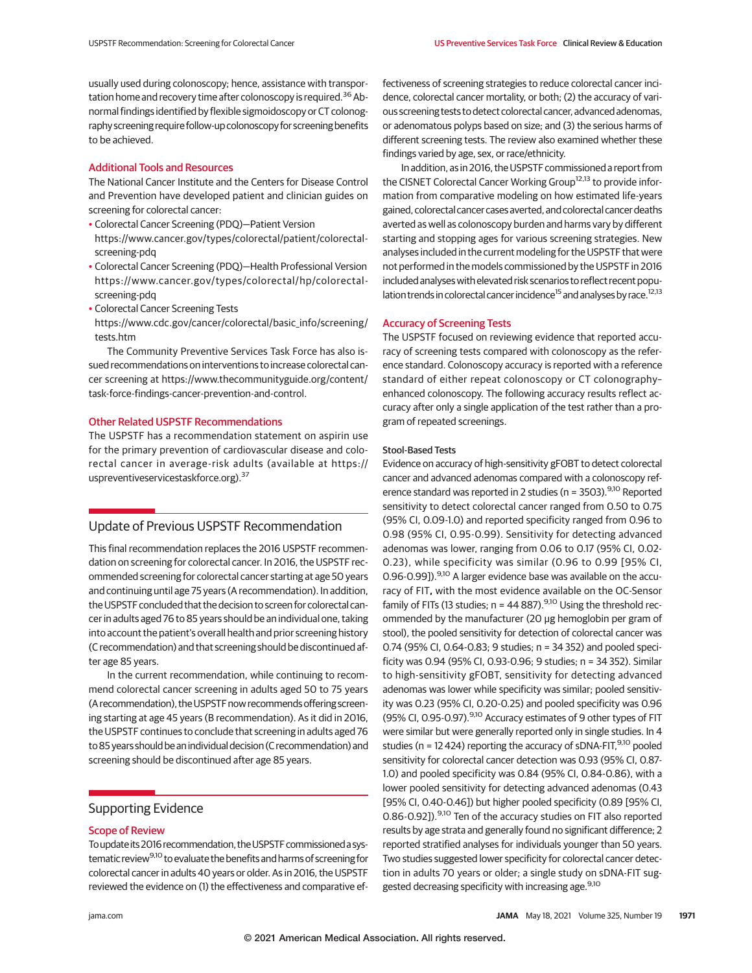usually used during colonoscopy; hence, assistance with transportation home and recovery time after colonoscopy is required.<sup>36</sup> Abnormal findings identified by flexible sigmoidoscopy or CT colonography screening require follow-up colonoscopy for screening benefits to be achieved.

## Additional Tools and Resources

The National Cancer Institute and the Centers for Disease Control and Prevention have developed patient and clinician guides on screening for colorectal cancer:

- Colorectal Cancer Screening (PDQ)—Patient Version
- https://www.cancer.gov/types/colorectal/patient/colorectalscreening-pdq
- Colorectal Cancer Screening (PDQ)—Health Professional Version https://www.cancer.gov/types/colorectal/hp/colorectalscreening-pdq
- Colorectal Cancer Screening Tests
- https://www.cdc.gov/cancer/colorectal/basic\_info/screening/ tests.htm

The Community Preventive Services Task Force has also issued recommendations on interventions to increase colorectal cancer screening at https://www.thecommunityguide.org/content/ task-force-findings-cancer-prevention-and-control.

## Other Related USPSTF Recommendations

The USPSTF has a recommendation statement on aspirin use for the primary prevention of cardiovascular disease and colorectal cancer in average-risk adults (available at https:// uspreventiveservicestaskforce.org).<sup>37</sup>

# Update of Previous USPSTF Recommendation

This final recommendation replaces the 2016 USPSTF recommendation on screening for colorectal cancer. In 2016, the USPSTF recommended screening for colorectal cancer starting at age 50 years and continuing until age 75 years (A recommendation). In addition, the USPSTF concluded that the decision to screen for colorectal cancer in adults aged 76 to 85 years should be an individual one, taking into account the patient's overall health and prior screening history (C recommendation) and that screening should be discontinued after age 85 years.

In the current recommendation, while continuing to recommend colorectal cancer screening in adults aged 50 to 75 years (A recommendation), theUSPSTF now recommends offering screening starting at age 45 years (B recommendation). As it did in 2016, the USPSTF continues to conclude that screening in adults aged 76 to 85years should be an individual decision (C recommendation) and screening should be discontinued after age 85 years.

# Supporting Evidence

## Scope of Review

To update its 2016 recommendation, the USPSTF commissioned a systematic review<sup>9,10</sup> to evaluate the benefits and harms of screening for colorectal cancer in adults 40 years or older. As in 2016, the USPSTF reviewed the evidence on (1) the effectiveness and comparative effectiveness of screening strategies to reduce colorectal cancer incidence, colorectal cancer mortality, or both; (2) the accuracy of various screening tests to detect colorectal cancer, advanced adenomas, or adenomatous polyps based on size; and (3) the serious harms of different screening tests. The review also examined whether these findings varied by age, sex, or race/ethnicity.

In addition, as in 2016, the USPSTF commissioned a report from the CISNET Colorectal Cancer Working Group<sup>12,13</sup> to provide information from comparative modeling on how estimated life-years gained, colorectal cancer cases averted, and colorectal cancer deaths averted as well as colonoscopy burden and harms vary by different starting and stopping ages for various screening strategies. New analyses included in the current modeling for the USPSTF that were not performed in the models commissioned by the USPSTF in 2016 included analyses with elevated risk scenarios to reflect recent population trends in colorectal cancer incidence<sup>15</sup> and analyses by race.<sup>12,13</sup>

## Accuracy of Screening Tests

The USPSTF focused on reviewing evidence that reported accuracy of screening tests compared with colonoscopy as the reference standard. Colonoscopy accuracy is reported with a reference standard of either repeat colonoscopy or CT colonography– enhanced colonoscopy. The following accuracy results reflect accuracy after only a single application of the test rather than a program of repeated screenings.

#### Stool-Based Tests

Evidence on accuracy of high-sensitivity gFOBT to detect colorectal cancer and advanced adenomas compared with a colonoscopy reference standard was reported in 2 studies (n = 3503).<sup>9,10</sup> Reported sensitivity to detect colorectal cancer ranged from 0.50 to 0.75 (95% CI, 0.09-1.0) and reported specificity ranged from 0.96 to 0.98 (95% CI, 0.95-0.99). Sensitivity for detecting advanced adenomas was lower, ranging from 0.06 to 0.17 (95% CI, 0.02- 0.23), while specificity was similar (0.96 to 0.99 [95% CI, 0.96-0.99]).<sup>9,10</sup> A larger evidence base was available on the accuracy of FIT**,** with the most evidence available on the OC-Sensor family of FITs (13 studies;  $n = 44887$ ).<sup>9,10</sup> Using the threshold recommended by the manufacturer (20 μg hemoglobin per gram of stool), the pooled sensitivity for detection of colorectal cancer was 0.74 (95% CI, 0.64-0.83; 9 studies; n = 34 352) and pooled specificity was 0.94 (95% CI, 0.93-0.96; 9 studies; n = 34 352). Similar to high-sensitivity gFOBT, sensitivity for detecting advanced adenomas was lower while specificity was similar; pooled sensitivity was 0.23 (95% CI, 0.20-0.25) and pooled specificity was 0.96 (95% CI, 0.95-0.97).<sup>9,10</sup> Accuracy estimates of 9 other types of FIT were similar but were generally reported only in single studies. In 4 studies ( $n = 12424$ ) reporting the accuracy of sDNA-FIT,  $9,10$  pooled sensitivity for colorectal cancer detection was 0.93 (95% CI, 0.87- 1.0) and pooled specificity was 0.84 (95% CI, 0.84-0.86), with a lower pooled sensitivity for detecting advanced adenomas (0.43 [95% CI, 0.40-0.46]) but higher pooled specificity (0.89 [95% CI, 0.86-0.92]).<sup>9,10</sup> Ten of the accuracy studies on FIT also reported results by age strata and generally found no significant difference; 2 reported stratified analyses for individuals younger than 50 years. Two studies suggested lower specificity for colorectal cancer detection in adults 70 years or older; a single study on sDNA-FIT suggested decreasing specificity with increasing age.<sup>9,10</sup>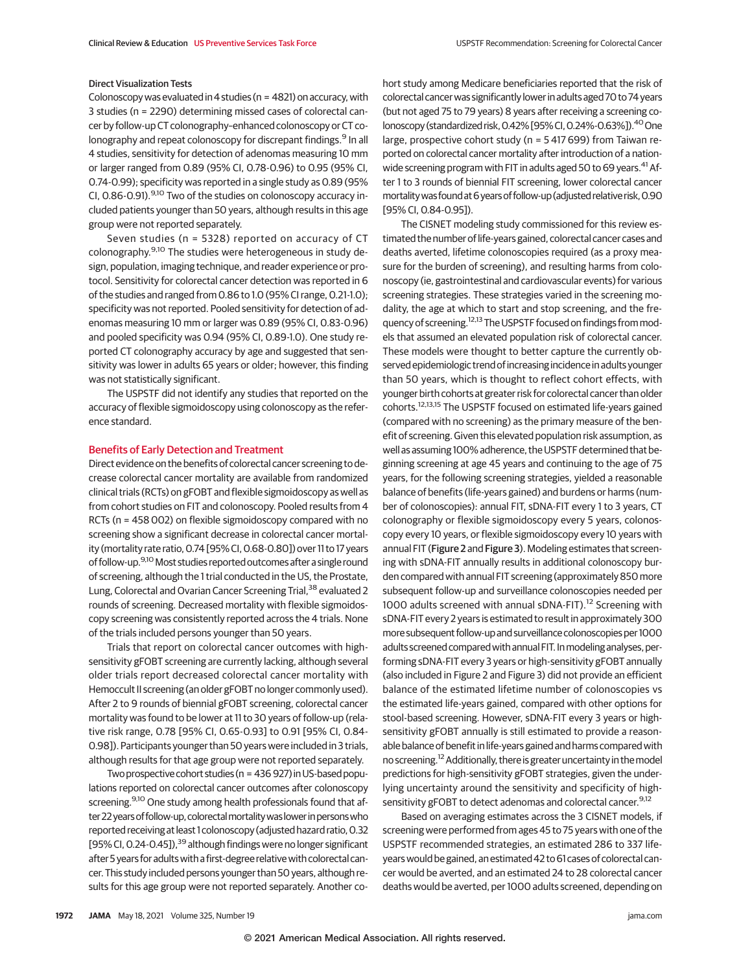# Direct Visualization Tests

Colonoscopy was evaluated in 4 studies ( $n = 4821$ ) on accuracy, with 3 studies (n = 2290) determining missed cases of colorectal cancer by follow-up CT colonography–enhanced colonoscopy or CT colonography and repeat colonoscopy for discrepant findings.<sup>9</sup> In all 4 studies, sensitivity for detection of adenomas measuring 10 mm or larger ranged from 0.89 (95% CI, 0.78-0.96) to 0.95 (95% CI, 0.74-0.99); specificity was reported in a single study as 0.89 (95% CI, 0.86-0.91).<sup>9,10</sup> Two of the studies on colonoscopy accuracy included patients younger than 50 years, although results in this age group were not reported separately.

Seven studies (n = 5328) reported on accuracy of CT colonography.<sup>9,10</sup> The studies were heterogeneous in study design, population, imaging technique, and reader experience or protocol. Sensitivity for colorectal cancer detection was reported in 6 of the studies and ranged from 0.86 to 1.0 (95% CI range, 0.21-1.0); specificity was not reported. Pooled sensitivity for detection of adenomas measuring 10 mm or larger was 0.89 (95% CI, 0.83-0.96) and pooled specificity was 0.94 (95% CI, 0.89-1.0). One study reported CT colonography accuracy by age and suggested that sensitivity was lower in adults 65 years or older; however, this finding was not statistically significant.

The USPSTF did not identify any studies that reported on the accuracy of flexible sigmoidoscopy using colonoscopy as the reference standard.

#### Benefits of Early Detection and Treatment

Direct evidence on the benefits of colorectal cancer screening to decrease colorectal cancer mortality are available from randomized clinical trials (RCTs) on gFOBT and flexible sigmoidoscopy as well as from cohort studies on FIT and colonoscopy. Pooled results from 4 RCTs (n = 458 002) on flexible sigmoidoscopy compared with no screening show a significant decrease in colorectal cancer mortality (mortality rate ratio, 0.74 [95% CI, 0.68-0.80]) over 11 to 17 years of follow-up.<sup>9,10</sup> Most studies reported outcomes after a single round of screening, although the 1 trial conducted in the US, the Prostate, Lung, Colorectal and Ovarian Cancer Screening Trial,<sup>38</sup> evaluated 2 rounds of screening. Decreased mortality with flexible sigmoidoscopy screening was consistently reported across the 4 trials. None of the trials included persons younger than 50 years.

Trials that report on colorectal cancer outcomes with highsensitivity gFOBT screening are currently lacking, although several older trials report decreased colorectal cancer mortality with Hemoccult II screening (an older gFOBT no longer commonly used). After 2 to 9 rounds of biennial gFOBT screening, colorectal cancer mortality was found to be lower at 11 to 30 years of follow-up (relative risk range, 0.78 [95% CI, 0.65-0.93] to 0.91 [95% CI, 0.84- 0.98]). Participants younger than 50 years were included in 3 trials, although results for that age group were not reported separately.

Two prospective cohort studies (n = 436 927) in US-based populations reported on colorectal cancer outcomes after colonoscopy screening.<sup>9,10</sup> One study among health professionals found that after 22 years of follow-up, colorectal mortality was lower in persons who reported receiving at least 1 colonoscopy (adjusted hazard ratio,0.32 [95% CI, 0.24-0.45]),<sup>39</sup> although findings were no longer significant after 5 years for adults with a first-degree relative with colorectal cancer. This study included persons younger than 50 years, although results for this age group were not reported separately. Another co-

hort study among Medicare beneficiaries reported that the risk of colorectal cancerwas significantly lower in adults aged 70 to 74 years (but not aged 75 to 79 years) 8 years after receiving a screening colonoscopy (standardized risk, 0.42% [95% CI, 0.24%-0.63%]).<sup>40</sup> One large, prospective cohort study (n = 5 417 699) from Taiwan reported on colorectal cancer mortality after introduction of a nationwide screening program with FIT in adults aged 50 to 69 years.<sup>41</sup> After 1 to 3 rounds of biennial FIT screening, lower colorectal cancer mortality was found at 6 years of follow-up (adjusted relative risk, 0.90 [95% CI, 0.84-0.95]).

The CISNET modeling study commissioned for this review estimated the number of life-years gained, colorectal cancer cases and deaths averted, lifetime colonoscopies required (as a proxy measure for the burden of screening), and resulting harms from colonoscopy (ie, gastrointestinal and cardiovascular events) for various screening strategies. These strategies varied in the screening modality, the age at which to start and stop screening, and the frequency of screening.<sup>12,13</sup> The USPSTF focused on findings from models that assumed an elevated population risk of colorectal cancer. These models were thought to better capture the currently observed epidemiologic trend of increasing incidence in adults younger than 50 years, which is thought to reflect cohort effects, with younger birth cohorts at greater risk for colorectal cancer than older cohorts.12,13,15 The USPSTF focused on estimated life-years gained (compared with no screening) as the primary measure of the benefit of screening. Given this elevated population risk assumption, as well as assuming 100% adherence, the USPSTF determined that beginning screening at age 45 years and continuing to the age of 75 years, for the following screening strategies, yielded a reasonable balance of benefits (life-years gained) and burdens or harms (number of colonoscopies): annual FIT, sDNA-FIT every 1 to 3 years, CT colonography or flexible sigmoidoscopy every 5 years, colonoscopy every 10 years, or flexible sigmoidoscopy every 10 years with annual FIT (Figure 2 and Figure 3). Modeling estimates that screening with sDNA-FIT annually results in additional colonoscopy burden compared with annual FIT screening (approximately 850 more subsequent follow-up and surveillance colonoscopies needed per 1000 adults screened with annual sDNA-FIT).<sup>12</sup> Screening with sDNA-FIT every 2 years is estimated to result in approximately 300 more subsequent follow-upand surveillance colonoscopies per 1000 adults screened compared with annual FIT. In modeling analyses, performing sDNA-FIT every 3 years or high-sensitivity gFOBT annually (also included in Figure 2 and Figure 3) did not provide an efficient balance of the estimated lifetime number of colonoscopies vs the estimated life-years gained, compared with other options for stool-based screening. However, sDNA-FIT every 3 years or highsensitivity gFOBT annually is still estimated to provide a reasonable balance of benefit in life-years gained and harms compared with no screening.<sup>12</sup> Additionally, there is greater uncertainty in the model predictions for high-sensitivity gFOBT strategies, given the underlying uncertainty around the sensitivity and specificity of highsensitivity gFOBT to detect adenomas and colorectal cancer.<sup>9,12</sup>

Based on averaging estimates across the 3 CISNET models, if screening were performed from ages 45 to 75 years with one of the USPSTF recommended strategies, an estimated 286 to 337 lifeyears would be gained, an estimated 42 to 61 cases of colorectal cancer would be averted, and an estimated 24 to 28 colorectal cancer deaths would be averted, per 1000 adults screened, depending on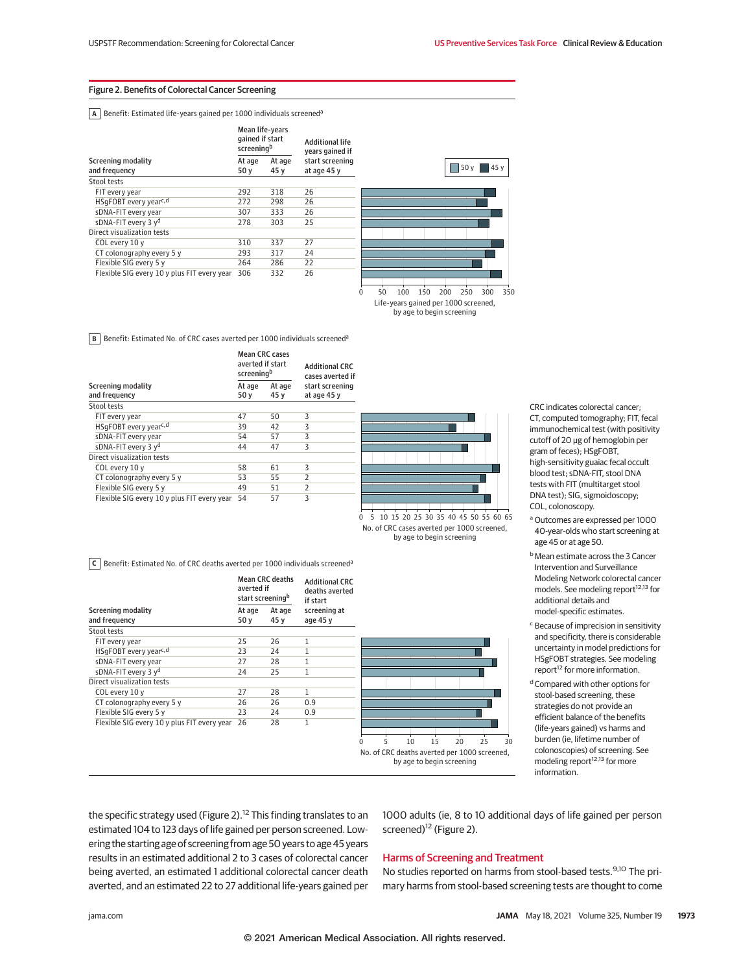#### Figure 2. Benefits of Colorectal Cancer Screening

**A** Benefit: Estimated life-years gained per 1000 individuals screened<sup>a</sup>

|                                             | Mean life-years<br>gained if start<br>screeningb |               | Additional life<br>years gained if |                                            |
|---------------------------------------------|--------------------------------------------------|---------------|------------------------------------|--------------------------------------------|
| <b>Screening modality</b><br>and frequency  | At age<br>50y                                    | At age<br>45y | start screening<br>at age 45 y     | 50v                                        |
| Stool tests                                 |                                                  |               |                                    |                                            |
| FIT every year                              | 292                                              | 318           | 26                                 |                                            |
| HSqFOBT every year <sup>c,d</sup>           | 272                                              | 298           | 26                                 |                                            |
| sDNA-FIT every year                         | 307                                              | 333           | 26                                 |                                            |
| sDNA-FIT every 3 yd                         | 278                                              | 303           | 25                                 |                                            |
| Direct visualization tests                  |                                                  |               |                                    |                                            |
| COL every 10 y                              | 310                                              | 337           | 27                                 |                                            |
| CT colonography every 5 y                   | 293                                              | 317           | 24                                 |                                            |
| Flexible SIG every 5 y                      | 264                                              | 286           | 22                                 |                                            |
| Flexible SIG every 10 y plus FIT every year | 306                                              | 332           | 26                                 | 50<br>150<br>∩∩ר<br>つらの<br>200<br>100<br>U |



B Benefit: Estimated No. of CRC cases averted per 1000 individuals screened<sup>a</sup>

|                                             | <b>Mean CRC cases</b><br>averted if start<br>screeningb |        | <b>Additional CRC</b><br>cases averted if |  |  |  |
|---------------------------------------------|---------------------------------------------------------|--------|-------------------------------------------|--|--|--|
| Screening modality                          | At age                                                  | At age | start screening                           |  |  |  |
| and frequency                               | 50 y                                                    | 45 v   | at age 45 y                               |  |  |  |
| Stool tests                                 |                                                         |        |                                           |  |  |  |
| FIT every year                              | 47                                                      | 50     | 3                                         |  |  |  |
| HSqFOBT every year <sup>c,d</sup>           | 39                                                      | 42     | 3                                         |  |  |  |
| sDNA-FIT every year                         | 54                                                      | 57     | 3                                         |  |  |  |
| sDNA-FIT every 3 y <sup>d</sup>             | 44                                                      | 47     | 3                                         |  |  |  |
| Direct visualization tests                  |                                                         |        |                                           |  |  |  |
| COL every 10 y                              | 58                                                      | 61     | 3                                         |  |  |  |
| CT colonography every 5 y                   | 53                                                      | 55     | $\mathcal{I}$                             |  |  |  |
| Flexible SIG every 5 y                      | 49                                                      | 51     | $\overline{2}$                            |  |  |  |
| Flexible SIG every 10 y plus FIT every year | 54                                                      | 57     | 3                                         |  |  |  |



0 5 10 15 20 25 30 35 40 45 50 55 60 65 No. of CRC cases averted per 1000 screened, by age to begin screening

**C** Benefit: Estimated No. of CRC deaths averted per 1000 individuals screened<sup>a</sup>

|                                                | averted if<br>start screening <sup>b</sup> | <b>Mean CRC deaths</b> | <b>Additional CRC</b><br>deaths averted<br>if start |   |   |    |    |                                                                           |    |    |
|------------------------------------------------|--------------------------------------------|------------------------|-----------------------------------------------------|---|---|----|----|---------------------------------------------------------------------------|----|----|
| <b>Screening modality</b>                      | At age                                     | At age                 | screening at                                        |   |   |    |    |                                                                           |    |    |
| and frequency                                  | 50y                                        | 45 y                   | age $45y$                                           |   |   |    |    |                                                                           |    |    |
| Stool tests                                    |                                            |                        |                                                     |   |   |    |    |                                                                           |    |    |
| FIT every year                                 | 25                                         | 26                     | $\mathbf{1}$                                        |   |   |    |    |                                                                           |    |    |
| HSqFOBT every year <sup>c,d</sup>              | 23                                         | 24                     | 1                                                   |   |   |    |    |                                                                           |    |    |
| sDNA-FIT every year                            | 27                                         | 28                     | $\mathbf{1}$                                        |   |   |    |    |                                                                           |    |    |
| sDNA-FIT every 3 y <sup>d</sup>                | 24                                         | 25                     | $\mathbf{1}$                                        |   |   |    |    |                                                                           |    |    |
| Direct visualization tests                     |                                            |                        |                                                     |   |   |    |    |                                                                           |    |    |
| COL every 10 y                                 | 27                                         | 28                     | 1                                                   |   |   |    |    |                                                                           |    |    |
| CT colonography every 5 y                      | 26                                         | 26                     | 0.9                                                 |   |   |    |    |                                                                           |    |    |
| Flexible SIG every 5 y                         | 23                                         | 24                     | 0.9                                                 |   |   |    |    |                                                                           |    |    |
| Flexible SIG every 10 y plus FIT every year 26 |                                            | 28                     | 1                                                   |   |   |    |    |                                                                           |    |    |
|                                                |                                            |                        |                                                     | 0 | 5 | 10 | 15 | 20                                                                        | 25 | 30 |
|                                                |                                            |                        |                                                     |   |   |    |    | No. of CRC deaths averted per 1000 screened,<br>by age to begin screening |    |    |

CRC indicates colorectal cancer; CT, computed tomography; FIT, fecal immunochemical test (with positivity cutoff of 20 μg of hemoglobin per gram of feces); HSgFOBT, high-sensitivity guaiac fecal occult blood test; sDNA-FIT, stool DNA tests with FIT (multitarget stool DNA test); SIG, sigmoidoscopy; COL, colonoscopy.

- <sup>a</sup> Outcomes are expressed per 1000 40-year-olds who start screening at age 45 or at age 50.
- **b** Mean estimate across the 3 Cancer Intervention and Surveillance Modeling Network colorectal cancer models. See modeling report<sup>12,13</sup> for additional details and model-specific estimates.
- <sup>c</sup> Because of imprecision in sensitivity and specificity, there is considerable uncertainty in model predictions for HSgFOBT strategies. See modeling report<sup>12</sup> for more information.
- <sup>d</sup> Compared with other options for stool-based screening, these strategies do not provide an efficient balance of the benefits (life-years gained) vs harms and burden (ie, lifetime number of colonoscopies) of screening. See modeling report<sup>12,13</sup> for more information.

the specific strategy used (Figure 2).<sup>12</sup> This finding translates to an estimated 104 to 123 days of life gained per person screened. Lowering the starting age of screening from age 50 years to age 45 years results in an estimated additional 2 to 3 cases of colorectal cancer being averted, an estimated 1 additional colorectal cancer death averted, and an estimated 22 to 27 additional life-years gained per

1000 adults (ie, 8 to 10 additional days of life gained per person screened) $^{12}$  (Figure 2).

## Harms of Screening and Treatment

No studies reported on harms from stool-based tests.<sup>9,10</sup> The primary harms from stool-based screening tests are thought to come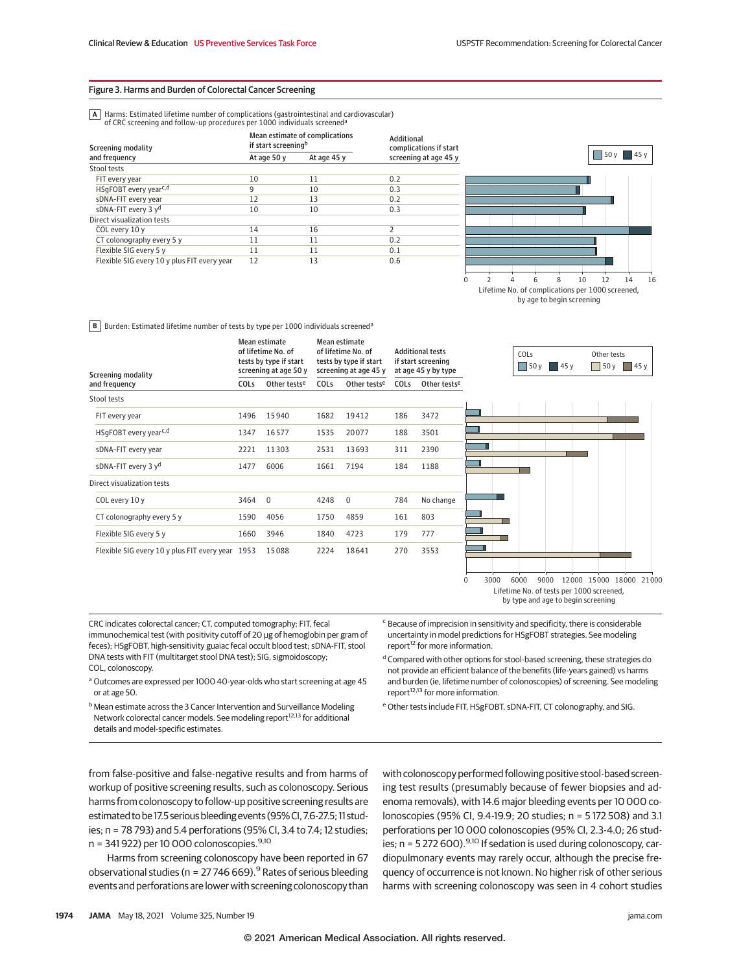#### Figure 3. Harms and Burden of Colorectal Cancer Screening

A | Harms: Estimated lifetime number of complications (gastrointestinal and cardiovascular) of CRC screening and follow-up procedures per 1000 individuals screeneda

| <b>Screening modality</b>                   | if start screening <sup>b</sup> | Mean estimate of complications | Additional                                                                                                     |  |  |
|---------------------------------------------|---------------------------------|--------------------------------|----------------------------------------------------------------------------------------------------------------|--|--|
| and frequency                               | At age 50 y                     | At age 45 y                    | complications if sta<br>screening at age 45<br>0.2<br>0.3<br>0.2<br>0.3<br>$\overline{2}$<br>0.2<br>0.1<br>0.6 |  |  |
| Stool tests                                 |                                 |                                |                                                                                                                |  |  |
| FIT every year                              | 10                              | 11                             |                                                                                                                |  |  |
| HSqFOBT every year <sup>c,d</sup>           | 9                               | 10                             |                                                                                                                |  |  |
| sDNA-FIT every year                         | 12                              | 13                             |                                                                                                                |  |  |
| sDNA-FIT every 3 y <sup>d</sup>             | 10                              | 10                             |                                                                                                                |  |  |
| Direct visualization tests                  |                                 |                                |                                                                                                                |  |  |
| COL every 10 y                              | 14                              | 16                             |                                                                                                                |  |  |
| CT colonography every 5 y                   | 11                              | 11                             |                                                                                                                |  |  |
| Flexible SIG every 5 y                      | 11                              | 11                             |                                                                                                                |  |  |
| Flexible SIG every 10 y plus FIT every year | 12                              | 13                             |                                                                                                                |  |  |



B Burden: Estimated lifetime number of tests by type per 1000 individuals screened<sup>a</sup>

| <b>Screening modality</b>                        |             | Mean estimate<br>of lifetime No. of<br>tests by type if start<br>screening at age 50 y |             | Mean estimate<br>of lifetime No. of<br>tests by type if start<br>screening at age 45 y |             | <b>Additional tests</b><br>if start screening<br>at age 45 y by type |                  | COLS<br>$\sqrt{50y}$ | 45 y |       | Other tests<br>$\Box$ 50 y | 45 y           |
|--------------------------------------------------|-------------|----------------------------------------------------------------------------------------|-------------|----------------------------------------------------------------------------------------|-------------|----------------------------------------------------------------------|------------------|----------------------|------|-------|----------------------------|----------------|
| and frequency                                    | <b>COLS</b> | Other tests <sup>e</sup>                                                               | <b>COLS</b> | Other tests <sup>e</sup>                                                               | <b>COLS</b> | Other tests <sup>e</sup>                                             |                  |                      |      |       |                            |                |
| Stool tests                                      |             |                                                                                        |             |                                                                                        |             |                                                                      |                  |                      |      |       |                            |                |
| FIT every year                                   | 1496        | 15940                                                                                  | 1682        | 19412                                                                                  | 186         | 3472                                                                 |                  |                      |      |       |                            |                |
| HSgFOBT every yearc,d                            | 1347        | 16577                                                                                  | 1535        | 20077                                                                                  | 188         | 3501                                                                 |                  |                      |      |       |                            |                |
| sDNA-FIT every year                              | 2221        | 11303                                                                                  | 2531        | 13693                                                                                  | 311         | 2390                                                                 |                  |                      |      |       |                            |                |
| sDNA-FIT every 3 y <sup>d</sup>                  | 1477        | 6006                                                                                   | 1661        | 7194                                                                                   | 184         | 1188                                                                 |                  |                      |      |       |                            |                |
| Direct visualization tests                       |             |                                                                                        |             |                                                                                        |             |                                                                      |                  |                      |      |       |                            |                |
| COL every 10 y                                   | 3464        | $\overline{0}$                                                                         | 4248        | $\overline{0}$                                                                         | 784         | No change                                                            |                  |                      |      |       |                            |                |
| CT colonography every 5 y                        | 1590        | 4056                                                                                   | 1750        | 4859                                                                                   | 161         | 803                                                                  |                  |                      |      |       |                            |                |
| Flexible SIG every 5 y                           | 1660        | 3946                                                                                   | 1840        | 4723                                                                                   | 179         | 777                                                                  |                  |                      |      |       |                            |                |
| Flexible SIG every 10 y plus FIT every year 1953 |             | 15088                                                                                  | 2224        | 18641                                                                                  | 270         | 3553                                                                 | 3000<br>$\Omega$ | 6000                 | 9000 | 12000 | 15000                      | 18000<br>21000 |

Lifetime No. of tests per 1000 screened, by type and age to begin screening

CRC indicates colorectal cancer; CT, computed tomography; FIT, fecal immunochemical test (with positivity cutoff of 20 μg of hemoglobin per gram of feces); HSgFOBT, high-sensitivity guaiac fecal occult blood test; sDNA-FIT, stool DNA tests with FIT (multitarget stool DNA test); SIG, sigmoidoscopy; COL, colonoscopy.

<sup>a</sup> Outcomes are expressed per 1000 40-year-olds who start screening at age 45

b Mean estimate across the 3 Cancer Intervention and Surveillance Modeling Network colorectal cancer models. See modeling report<sup>12,13</sup> for additional

 $\epsilon$  Because of imprecision in sensitivity and specificity, there is considerable uncertainty in model predictions for HSgFOBT strategies. See modeling report<sup>12</sup> for more information.

<sup>d</sup> Compared with other options for stool-based screening, these strategies do not provide an efficient balance of the benefits (life-years gained) vs harms and burden (ie, lifetime number of colonoscopies) of screening. See modeling report $12,13$  for more information.

e Other tests include FIT, HSgFOBT, sDNA-FIT, CT colonography, and SIG.

from false-positive and false-negative results and from harms of workup of positive screening results, such as colonoscopy. Serious harms from colonoscopy to follow-up positive screening results are estimated to be 17.5 serious bleeding events (95% CI, 7.6-27.5; 11 studies; n = 78 793) and 5.4 perforations (95% CI, 3.4 to 7.4; 12 studies;  $n = 341922$ ) per 10 000 colonoscopies.<sup>9,10</sup>

Harms from screening colonoscopy have been reported in 67 observational studies ( $n = 27746669$ ).<sup>9</sup> Rates of serious bleeding events and perforations are lower with screening colonoscopy than with colonoscopy performed following positive stool-based screening test results (presumably because of fewer biopsies and adenoma removals), with 14.6 major bleeding events per 10 000 colonoscopies (95% CI, 9.4-19.9; 20 studies; n = 5 172 508) and 3.1 perforations per 10 000 colonoscopies (95% CI, 2.3-4.0; 26 studies;  $n = 5272600$ .  $9,10$  If sedation is used during colonoscopy, cardiopulmonary events may rarely occur, although the precise frequency of occurrence is not known. No higher risk of other serious harms with screening colonoscopy was seen in 4 cohort studies

details and model-specific estimates.

or at age 50.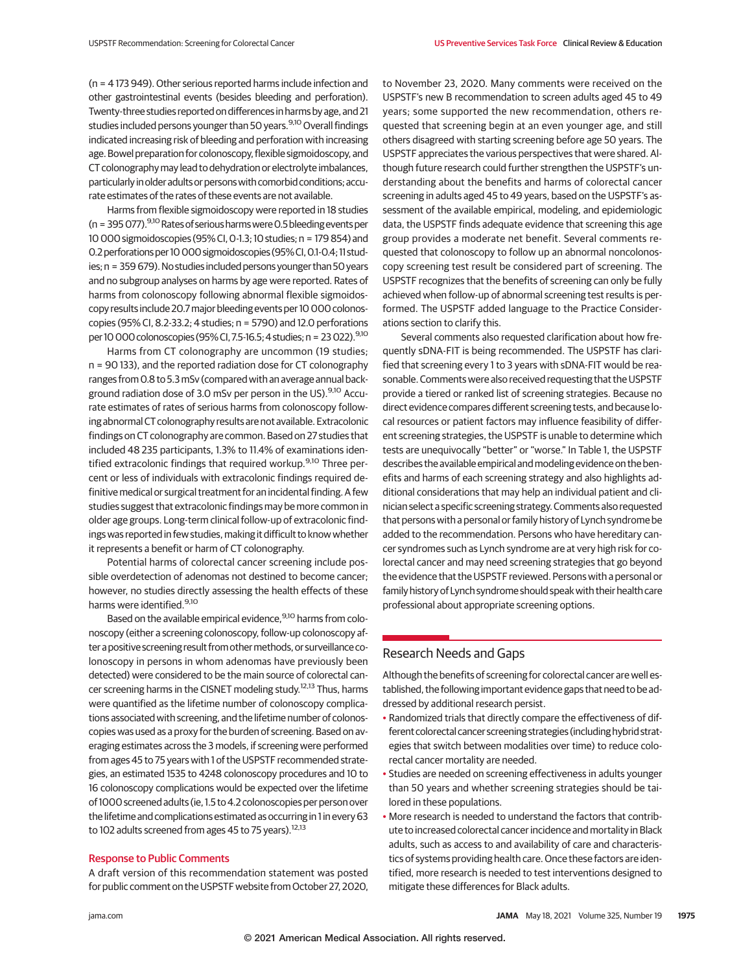(n = 4 173 949). Other serious reported harms include infection and other gastrointestinal events (besides bleeding and perforation). Twenty-three studies reported on differences in harms by age, and 21 studies included persons younger than 50 years.<sup>9,10</sup> Overall findings indicated increasing risk of bleeding and perforation with increasing age. Bowel preparation for colonoscopy, flexible sigmoidoscopy, and CT colonographymay lead to dehydration or electrolyte imbalances, particularly in older adults or persons with comorbid conditions; accurate estimates of the rates of these events are not available.

Harms from flexible sigmoidoscopy were reported in 18 studies (n = 395 077). $^{9,10}$  Rates of serious harms were 0.5 bleeding events per 10 000 sigmoidoscopies (95% CI, 0-1.3; 10 studies; n = 179 854) and 0.2 perforations per 10 000 sigmoidoscopies (95% CI, 0.1-0.4; 11 studies; n = 359 679). No studies included persons younger than 50 years and no subgroup analyses on harms by age were reported. Rates of harms from colonoscopy following abnormal flexible sigmoidoscopy results include 20.7major bleeding events per 10 000 colonoscopies (95% CI, 8.2-33.2; 4 studies; n = 5790) and 12.0 perforations per 10 000 colonoscopies (95% CI, 7.5-16.5; 4 studies; n = 23 022). <sup>9,10</sup>

Harms from CT colonography are uncommon (19 studies; n = 90 133), and the reported radiation dose for CT colonography ranges from 0.8 to 5.3mSv (compared with an average annual background radiation dose of 3.0 mSv per person in the US).<sup>9,10</sup> Accurate estimates of rates of serious harms from colonoscopy following abnormal CT colonography results are not available. Extracolonic findings on CT colonography are common. Based on 27 studies that included 48 235 participants, 1.3% to 11.4% of examinations identified extracolonic findings that required workup.<sup>9,10</sup> Three percent or less of individuals with extracolonic findings required definitive medical or surgical treatment for an incidental finding. A few studies suggest that extracolonic findings may be more common in older age groups. Long-term clinical follow-up of extracolonic findings was reported in few studies, making it difficult to know whether it represents a benefit or harm of CT colonography.

Potential harms of colorectal cancer screening include possible overdetection of adenomas not destined to become cancer; however, no studies directly assessing the health effects of these harms were identified.<sup>9,10</sup>

Based on the available empirical evidence, <sup>9,10</sup> harms from colonoscopy (either a screening colonoscopy, follow-up colonoscopy after a positive screening result from other methods, or surveillance colonoscopy in persons in whom adenomas have previously been detected) were considered to be the main source of colorectal cancer screening harms in the CISNET modeling study.<sup>12,13</sup> Thus, harms were quantified as the lifetime number of colonoscopy complications associated with screening, and the lifetime number of colonoscopies was used as a proxy for the burden of screening. Based on averaging estimates across the 3 models, if screening were performed from ages 45 to 75 years with 1 of the USPSTF recommended strategies, an estimated 1535 to 4248 colonoscopy procedures and 10 to 16 colonoscopy complications would be expected over the lifetime of 1000 screened adults (ie, 1.5 to 4.2 colonoscopies per person over the lifetime and complications estimated as occurring in 1 in every 63 to 102 adults screened from ages 45 to 75 years).<sup>12,13</sup>

#### Response to Public Comments

A draft version of this recommendation statement was posted for public comment on the USPSTF website from October 27, 2020, to November 23, 2020. Many comments were received on the USPSTF's new B recommendation to screen adults aged 45 to 49 years; some supported the new recommendation, others requested that screening begin at an even younger age, and still others disagreed with starting screening before age 50 years. The USPSTF appreciates the various perspectives that were shared. Although future research could further strengthen the USPSTF's understanding about the benefits and harms of colorectal cancer screening in adults aged 45 to 49 years, based on the USPSTF's assessment of the available empirical, modeling, and epidemiologic data, the USPSTF finds adequate evidence that screening this age group provides a moderate net benefit. Several comments requested that colonoscopy to follow up an abnormal noncolonoscopy screening test result be considered part of screening. The USPSTF recognizes that the benefits of screening can only be fully achieved when follow-up of abnormal screening test results is performed. The USPSTF added language to the Practice Considerations section to clarify this.

Several comments also requested clarification about how frequently sDNA-FIT is being recommended. The USPSTF has clarified that screening every 1 to 3 years with sDNA-FIT would be reasonable. Comments were also received requesting that the USPSTF provide a tiered or ranked list of screening strategies. Because no direct evidence compares different screening tests, and because local resources or patient factors may influence feasibility of different screening strategies, the USPSTF is unable to determine which tests are unequivocally "better" or "worse." In Table 1, the USPSTF describes the available empirical and modeling evidence on the benefits and harms of each screening strategy and also highlights additional considerations that may help an individual patient and clinician select a specific screening strategy. Comments also requested that persons with a personal or family history of Lynch syndrome be added to the recommendation. Persons who have hereditary cancer syndromes such as Lynch syndrome are at very high risk for colorectal cancer and may need screening strategies that go beyond the evidence that the USPSTF reviewed. Persons with a personal or family history of Lynch syndrome should speak with their health care professional about appropriate screening options.

# Research Needs and Gaps

Although the benefits of screening for colorectal cancer are well established, the following important evidence gaps that need to be addressed by additional research persist.

- Randomized trials that directly compare the effectiveness of different colorectal cancer screening strategies (including hybrid strategies that switch between modalities over time) to reduce colorectal cancer mortality are needed.
- Studies are needed on screening effectiveness in adults younger than 50 years and whether screening strategies should be tailored in these populations.
- More research is needed to understand the factors that contribute to increased colorectal cancer incidence and mortality in Black adults, such as access to and availability of care and characteristics of systems providing health care. Once these factors are identified, more research is needed to test interventions designed to mitigate these differences for Black adults.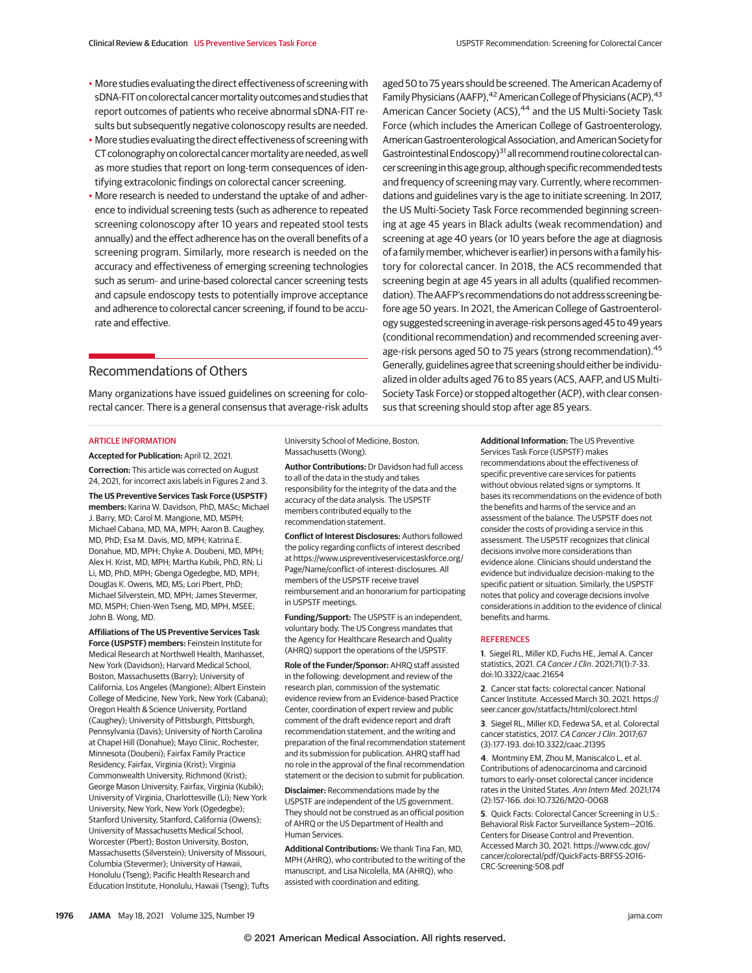- More studies evaluating the direct effectiveness of screening with sDNA-FIT on colorectal cancermortality outcomes and studies that report outcomes of patients who receive abnormal sDNA-FIT results but subsequently negative colonoscopy results are needed.
- More studies evaluating the direct effectiveness of screening with CT colonography on colorectal cancermortality are needed, as well as more studies that report on long-term consequences of identifying extracolonic findings on colorectal cancer screening.
- More research is needed to understand the uptake of and adherence to individual screening tests (such as adherence to repeated screening colonoscopy after 10 years and repeated stool tests annually) and the effect adherence has on the overall benefits of a screening program. Similarly, more research is needed on the accuracy and effectiveness of emerging screening technologies such as serum- and urine-based colorectal cancer screening tests and capsule endoscopy tests to potentially improve acceptance and adherence to colorectal cancer screening, if found to be accurate and effective.

# Recommendations of Others

Many organizations have issued guidelines on screening for colorectal cancer. There is a general consensus that average-risk adults

#### ARTICLE INFORMATION

**Accepted for Publication:** April 12, 2021.

**Correction:** This article was corrected on August 24, 2021, for incorrect axis labels in Figures 2 and 3.

**The US Preventive Services Task Force (USPSTF) members:** Karina W. Davidson, PhD, MASc; Michael J. Barry, MD; Carol M. Mangione, MD, MSPH; Michael Cabana, MD, MA, MPH; Aaron B. Caughey, MD, PhD; Esa M. Davis, MD, MPH; Katrina E. Donahue, MD, MPH; Chyke A. Doubeni, MD, MPH; Alex H. Krist, MD, MPH; Martha Kubik, PhD, RN; Li Li, MD, PhD, MPH; Gbenga Ogedegbe, MD, MPH; Douglas K. Owens, MD, MS; Lori Pbert, PhD; Michael Silverstein, MD, MPH; James Stevermer, MD, MSPH; Chien-Wen Tseng, MD, MPH, MSEE; John B. Wong, MD.

**Affiliations of The US Preventive Services Task Force (USPSTF) members:** Feinstein Institute for Medical Research at Northwell Health, Manhasset, New York (Davidson); Harvard Medical School, Boston, Massachusetts (Barry); University of California, Los Angeles (Mangione); Albert Einstein College of Medicine, New York, New York (Cabana); Oregon Health & Science University, Portland (Caughey); University of Pittsburgh, Pittsburgh, Pennsylvania (Davis); University of North Carolina at Chapel Hill (Donahue); Mayo Clinic, Rochester, Minnesota (Doubeni); Fairfax Family Practice Residency, Fairfax, Virginia (Krist); Virginia Commonwealth University, Richmond (Krist); George Mason University, Fairfax, Virginia (Kubik); University of Virginia, Charlottesville (Li); New York University, New York, New York (Ogedegbe); Stanford University, Stanford, California (Owens); University of Massachusetts Medical School, Worcester (Pbert); Boston University, Boston, Massachusetts (Silverstein); University of Missouri, Columbia (Stevermer); University of Hawaii, Honolulu (Tseng); Pacific Health Research and Education Institute, Honolulu, Hawaii (Tseng); Tufts University School of Medicine, Boston, Massachusetts (Wong).

**Author Contributions:** Dr Davidson had full access to all of the data in the study and takes responsibility for the integrity of the data and the accuracy of the data analysis. The USPSTF members contributed equally to the recommendation statement.

**Conflict of Interest Disclosures:** Authors followed the policy regarding conflicts of interest described at https://www.uspreventiveservicestaskforce.org/ Page/Name/conflict-of-interest-disclosures. All members of the USPSTF receive travel reimbursement and an honorarium for participating in USPSTF meetings.

**Funding/Support:** The USPSTF is an independent, voluntary body. The US Congress mandates that the Agency for Healthcare Research and Quality (AHRQ) support the operations of the USPSTF.

**Role of the Funder/Sponsor:** AHRQ staff assisted in the following: development and review of the research plan, commission of the systematic evidence review from an Evidence-based Practice Center, coordination of expert review and public comment of the draft evidence report and draft recommendation statement, and the writing and preparation of the final recommendation statement and its submission for publication. AHRQ staff had no role in the approval of the final recommendation statement or the decision to submit for publication.

**Disclaimer:** Recommendations made by the USPSTF are independent of the US government. They should not be construed as an official position of AHRQ or the US Department of Health and Human Services.

**Additional Contributions:** We thank Tina Fan, MD, MPH (AHRQ), who contributed to the writing of the manuscript, and Lisa Nicolella, MA (AHRQ), who assisted with coordination and editing.

aged 50 to 75 years should be screened. The American Academy of Family Physicians (AAFP), <sup>42</sup> American College of Physicians (ACP), <sup>43</sup> American Cancer Society (ACS),<sup>44</sup> and the US Multi-Society Task Force (which includes the American College of Gastroenterology, AmericanGastroenterological Association, and American Society for Gastrointestinal Endoscopy)<sup>31</sup> all recommend routine colorectal cancer screening in this age group, although specific recommended tests and frequency of screening may vary. Currently, where recommendations and guidelines vary is the age to initiate screening. In 2017, the US Multi-Society Task Force recommended beginning screening at age 45 years in Black adults (weak recommendation) and screening at age 40 years (or 10 years before the age at diagnosis of a familymember, whichever is earlier) in persons with a family history for colorectal cancer. In 2018, the ACS recommended that screening begin at age 45 years in all adults (qualified recommendation). The AAFP's recommendations do not address screening before age 50 years. In 2021, the American College of Gastroenterology suggested screening in average-risk persons aged 45 to 49 years (conditional recommendation) and recommended screening average-risk persons aged 50 to 75 years (strong recommendation).<sup>45</sup> Generally, guidelines agree that screening should either be individualized in older adults aged 76 to 85 years (ACS, AAFP, and US Multi-Society Task Force) or stopped altogether (ACP), with clear consensus that screening should stop after age 85 years.

> **Additional Information:** The US Preventive Services Task Force (USPSTF) makes recommendations about the effectiveness of specific preventive care services for patients without obvious related signs or symptoms. It bases its recommendations on the evidence of both the benefits and harms of the service and an assessment of the balance. The USPSTF does not consider the costs of providing a service in this assessment. The USPSTF recognizes that clinical decisions involve more considerations than evidence alone. Clinicians should understand the evidence but individualize decision-making to the specific patient or situation. Similarly, the USPSTF notes that policy and coverage decisions involve considerations in addition to the evidence of clinical benefits and harms.

#### **REFERENCES**

**1**. Siegel RL, Miller KD, Fuchs HE, Jemal A. Cancer statistics, 2021. CA Cancer J Clin. 2021;71(1):7-33. doi:10.3322/caac.21654

**2**. Cancer stat facts: colorectal cancer. National Cancer Institute. Accessed March 30, 2021. https:// seer.cancer.gov/statfacts/html/colorect.html

**3**. Siegel RL, Miller KD, Fedewa SA, et al. Colorectal cancer statistics, 2017. CA Cancer J Clin. 2017;67 (3):177-193. doi:10.3322/caac.21395

**4**. Montminy EM, Zhou M, Maniscalco L, et al. Contributions of adenocarcinoma and carcinoid tumors to early-onset colorectal cancer incidence rates in the United States. Ann Intern Med. 2021;174 (2):157-166. doi:10.7326/M20-0068

**5**. Quick Facts: Colorectal Cancer Screening in U.S.: Behavioral Risk Factor Surveillance System—2016. Centers for Disease Control and Prevention. Accessed March 30, 2021. https://www.cdc.gov/ cancer/colorectal/pdf/QuickFacts-BRFSS-2016- CRC-Screening-508.pdf